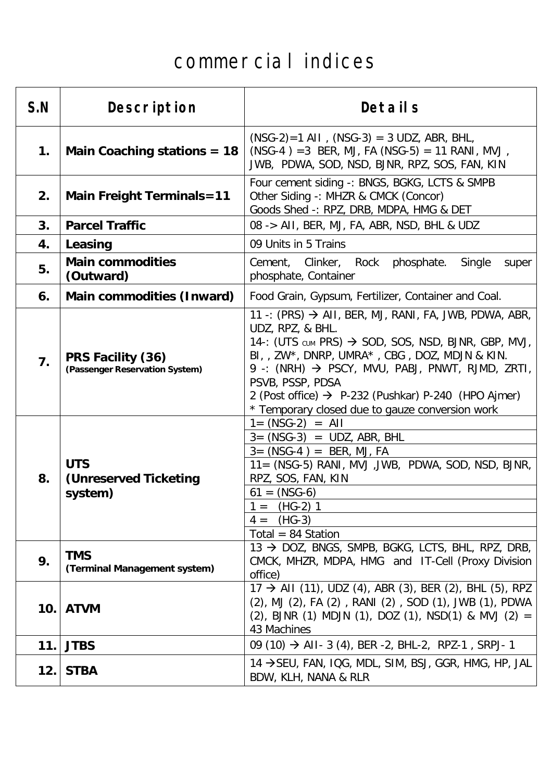## commercial indices

| S.N | Description                                           | Details                                                                                                                                                                                                                                                                                                                                                                                                            |
|-----|-------------------------------------------------------|--------------------------------------------------------------------------------------------------------------------------------------------------------------------------------------------------------------------------------------------------------------------------------------------------------------------------------------------------------------------------------------------------------------------|
| 1.  | Main Coaching stations $= 18$                         | $(NSG-2)=1$ AII, $(NSG-3) = 3$ UDZ, ABR, BHL,<br>$(NSG-4) = 3$ BER, MJ, FA (NSG-5) = 11 RANI, MVJ,<br>JWB, PDWA, SOD, NSD, BJNR, RPZ, SOS, FAN, KIN                                                                                                                                                                                                                                                                |
| 2.  | <b>Main Freight Terminals=11</b>                      | Four cement siding -: BNGS, BGKG, LCTS & SMPB<br>Other Siding -: MHZR & CMCK (Concor)<br>Goods Shed -: RPZ, DRB, MDPA, HMG & DET                                                                                                                                                                                                                                                                                   |
| 3.  | <b>Parcel Traffic</b>                                 | 08 -> AII, BER, MJ, FA, ABR, NSD, BHL & UDZ                                                                                                                                                                                                                                                                                                                                                                        |
| 4.  | Leasing                                               | 09 Units in 5 Trains                                                                                                                                                                                                                                                                                                                                                                                               |
| 5.  | <b>Main commodities</b><br>(Outward)                  | phosphate.<br>Cement, Clinker,<br>Rock<br>Single<br>super<br>phosphate, Container                                                                                                                                                                                                                                                                                                                                  |
| 6.  | Main commodities (Inward)                             | Food Grain, Gypsum, Fertilizer, Container and Coal.                                                                                                                                                                                                                                                                                                                                                                |
| 7.  | PRS Facility (36)<br>(Passenger Reservation System)   | 11 -: (PRS) $\rightarrow$ AII, BER, MJ, RANI, FA, JWB, PDWA, ABR,<br>UDZ, RPZ, & BHL.<br>14-: (UTS CUM PRS) $\rightarrow$ SOD, SOS, NSD, BJNR, GBP, MVJ,<br>BI, , ZW*, DNRP, UMRA*, CBG, DOZ, MDJN & KIN.<br>9 -: (NRH) $\rightarrow$ PSCY, MVU, PABJ, PNWT, RJMD, ZRTI,<br>PSVB, PSSP, PDSA<br>2 (Post office) $\rightarrow$ P-232 (Pushkar) P-240 (HPO Ajmer)<br>* Temporary closed due to gauze conversion work |
| 8.  | <b>UTS</b><br><b>(Unreserved Ticketing</b><br>system) | $1 = (NSG-2) = All$<br>$3 = (NSG-3) = UDZ$ , ABR, BHL<br>$3 = (NSG-4) = BER, MJ, FA$<br>11= (NSG-5) RANI, MVJ, JWB, PDWA, SOD, NSD, BJNR,<br>RPZ, SOS, FAN, KIN<br>$61 = (NSG-6)$<br>$(HG-2)$<br>$=$<br>$(HG-3)$<br>$4 =$<br>Total = 84 Station                                                                                                                                                                    |
| 9.  | <b>TMS</b><br>(Terminal Management system)            | 13 → DOZ, BNGS, SMPB, BGKG, LCTS, BHL, RPZ, DRB,<br>CMCK, MHZR, MDPA, HMG and IT-Cell (Proxy Division<br>office)                                                                                                                                                                                                                                                                                                   |
| 10. | <b>ATVM</b>                                           | $17 \rightarrow$ AII (11), UDZ (4), ABR (3), BER (2), BHL (5), RPZ<br>(2), MJ (2), FA (2), RANI (2), SOD (1), JWB (1), PDWA<br>(2), BJNR (1) MDJN (1), DOZ (1), NSD(1) & MVJ (2) =<br>43 Machines                                                                                                                                                                                                                  |
| 11. | <b>JTBS</b>                                           | 09 (10) $\rightarrow$ AII- 3 (4), BER -2, BHL-2, RPZ-1, SRPJ- 1                                                                                                                                                                                                                                                                                                                                                    |
| 12. | <b>STBA</b>                                           | 14 → SEU, FAN, IQG, MDL, SIM, BSJ, GGR, HMG, HP, JAL<br>BDW, KLH, NANA & RLR                                                                                                                                                                                                                                                                                                                                       |